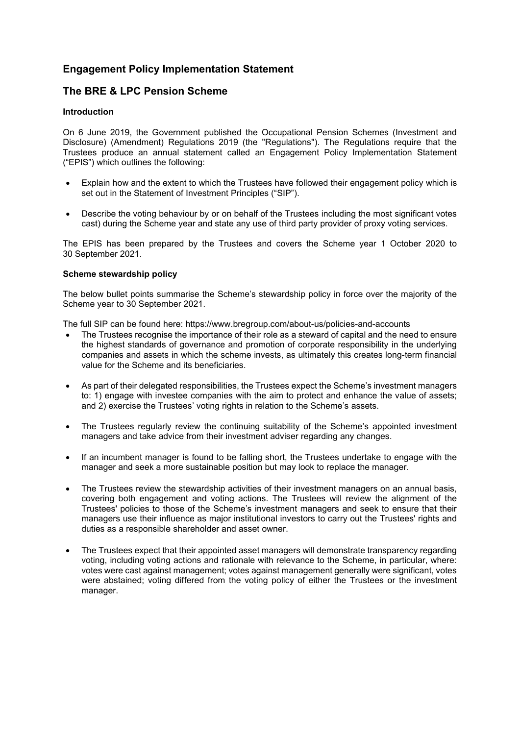# **Engagement Policy Implementation Statement**

## **The BRE & LPC Pension Scheme**

### **Introduction**

On 6 June 2019, the Government published the Occupational Pension Schemes (Investment and Disclosure) (Amendment) Regulations 2019 (the "Regulations"). The Regulations require that the Trustees produce an annual statement called an Engagement Policy Implementation Statement ("EPIS") which outlines the following:

- Explain how and the extent to which the Trustees have followed their engagement policy which is set out in the Statement of Investment Principles ("SIP").
- Describe the voting behaviour by or on behalf of the Trustees including the most significant votes cast) during the Scheme year and state any use of third party provider of proxy voting services.

The EPIS has been prepared by the Trustees and covers the Scheme year 1 October 2020 to 30 September 2021.

### **Scheme stewardship policy**

The below bullet points summarise the Scheme's stewardship policy in force over the majority of the Scheme year to 30 September 2021.

The full SIP can be found here: [https://www.bregroup.com/about-us/policies-and-accounts](https://www.bregroup.com/about-us/policies-and-accounts/)

- The Trustees recognise the importance of their role as a steward of capital and the need to ensure the highest standards of governance and promotion of corporate responsibility in the underlying companies and assets in which the scheme invests, as ultimately this creates long-term financial value for the Scheme and its beneficiaries.
- As part of their delegated responsibilities, the Trustees expect the Scheme's investment managers to: 1) engage with investee companies with the aim to protect and enhance the value of assets; and 2) exercise the Trustees' voting rights in relation to the Scheme's assets.
- The Trustees regularly review the continuing suitability of the Scheme's appointed investment managers and take advice from their investment adviser regarding any changes.
- If an incumbent manager is found to be falling short, the Trustees undertake to engage with the manager and seek a more sustainable position but may look to replace the manager.
- The Trustees review the stewardship activities of their investment managers on an annual basis, covering both engagement and voting actions. The Trustees will review the alignment of the Trustees' policies to those of the Scheme's investment managers and seek to ensure that their managers use their influence as major institutional investors to carry out the Trustees' rights and duties as a responsible shareholder and asset owner.
- The Trustees expect that their appointed asset managers will demonstrate transparency regarding voting, including voting actions and rationale with relevance to the Scheme, in particular, where: votes were cast against management; votes against management generally were significant, votes were abstained; voting differed from the voting policy of either the Trustees or the investment manager.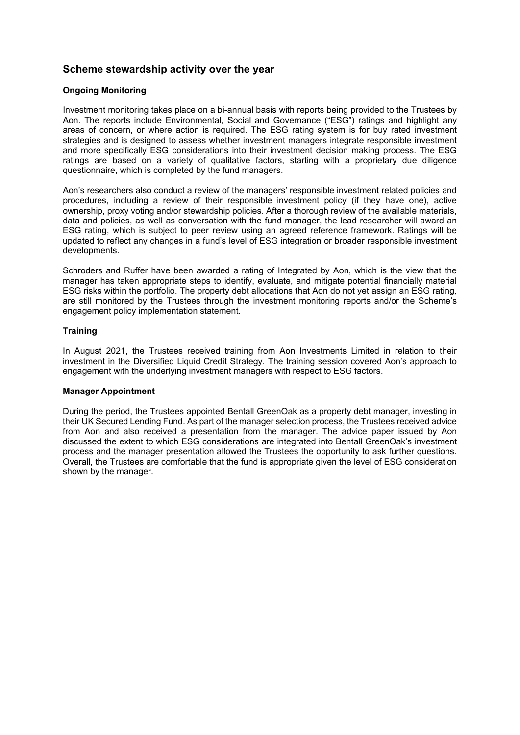# **Scheme stewardship activity over the year**

## **Ongoing Monitoring**

Investment monitoring takes place on a bi-annual basis with reports being provided to the Trustees by Aon. The reports include Environmental, Social and Governance ("ESG") ratings and highlight any areas of concern, or where action is required. The ESG rating system is for buy rated investment strategies and is designed to assess whether investment managers integrate responsible investment and more specifically ESG considerations into their investment decision making process. The ESG ratings are based on a variety of qualitative factors, starting with a proprietary due diligence questionnaire, which is completed by the fund managers.

Aon's researchers also conduct a review of the managers' responsible investment related policies and procedures, including a review of their responsible investment policy (if they have one), active ownership, proxy voting and/or stewardship policies. After a thorough review of the available materials, data and policies, as well as conversation with the fund manager, the lead researcher will award an ESG rating, which is subject to peer review using an agreed reference framework. Ratings will be updated to reflect any changes in a fund's level of ESG integration or broader responsible investment developments.

Schroders and Ruffer have been awarded a rating of Integrated by Aon, which is the view that the manager has taken appropriate steps to identify, evaluate, and mitigate potential financially material ESG risks within the portfolio. The property debt allocations that Aon do not yet assign an ESG rating, are still monitored by the Trustees through the investment monitoring reports and/or the Scheme's engagement policy implementation statement.

## **Training**

In August 2021, the Trustees received training from Aon Investments Limited in relation to their investment in the Diversified Liquid Credit Strategy. The training session covered Aon's approach to engagement with the underlying investment managers with respect to ESG factors.

## **Manager Appointment**

During the period, the Trustees appointed Bentall GreenOak as a property debt manager, investing in their UK Secured Lending Fund. As part of the manager selection process, the Trustees received advice from Aon and also received a presentation from the manager. The advice paper issued by Aon discussed the extent to which ESG considerations are integrated into Bentall GreenOak's investment process and the manager presentation allowed the Trustees the opportunity to ask further questions. Overall, the Trustees are comfortable that the fund is appropriate given the level of ESG consideration shown by the manager.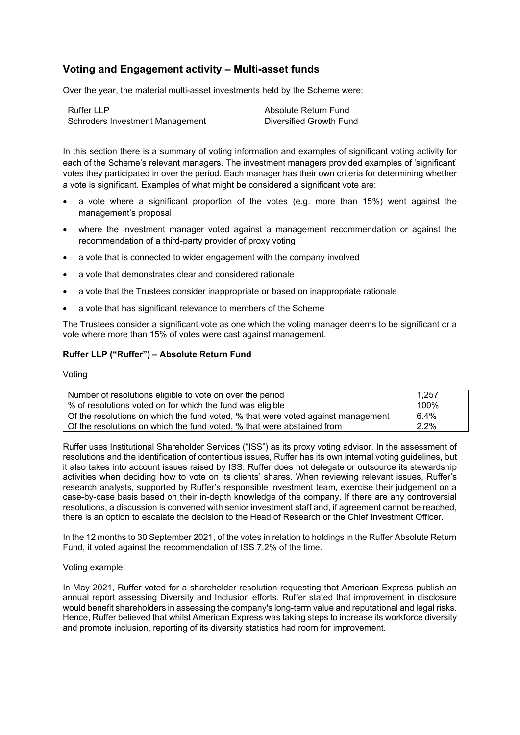# **Voting and Engagement activity – Multi-asset funds**

Over the year, the material multi-asset investments held by the Scheme were:

| Ruffer LLP                      | Absolute Return Fund    |
|---------------------------------|-------------------------|
| Schroders Investment Management | Diversified Growth Fund |

In this section there is a summary of voting information and examples of significant voting activity for each of the Scheme's relevant managers. The investment managers provided examples of 'significant' votes they participated in over the period. Each manager has their own criteria for determining whether a vote is significant. Examples of what might be considered a significant vote are:

- a vote where a significant proportion of the votes (e.g. more than 15%) went against the management's proposal
- where the investment manager voted against a management recommendation or against the recommendation of a third-party provider of proxy voting
- a vote that is connected to wider engagement with the company involved
- a vote that demonstrates clear and considered rationale
- a vote that the Trustees consider inappropriate or based on inappropriate rationale
- a vote that has significant relevance to members of the Scheme

The Trustees consider a significant vote as one which the voting manager deems to be significant or a vote where more than 15% of votes were cast against management.

### **Ruffer LLP ("Ruffer") – Absolute Return Fund**

Voting

| Number of resolutions eligible to vote on over the period                        | 1.257 |
|----------------------------------------------------------------------------------|-------|
| % of resolutions voted on for which the fund was eligible                        | 100%  |
| Of the resolutions on which the fund voted, % that were voted against management | 6.4%  |
| Of the resolutions on which the fund voted, % that were abstained from           | 2.2%  |

Ruffer uses Institutional Shareholder Services ("ISS") as its proxy voting advisor. In the assessment of resolutions and the identification of contentious issues, Ruffer has its own internal voting guidelines, but it also takes into account issues raised by ISS. Ruffer does not delegate or outsource its stewardship activities when deciding how to vote on its clients' shares. When reviewing relevant issues, Ruffer's research analysts, supported by Ruffer's responsible investment team, exercise their judgement on a case-by-case basis based on their in-depth knowledge of the company. If there are any controversial resolutions, a discussion is convened with senior investment staff and, if agreement cannot be reached, there is an option to escalate the decision to the Head of Research or the Chief Investment Officer.

In the 12 months to 30 September 2021, of the votes in relation to holdings in the Ruffer Absolute Return Fund, it voted against the recommendation of ISS 7.2% of the time.

#### Voting example:

In May 2021, Ruffer voted for a shareholder resolution requesting that American Express publish an annual report assessing Diversity and Inclusion efforts. Ruffer stated that improvement in disclosure would benefit shareholders in assessing the company's long-term value and reputational and legal risks. Hence, Ruffer believed that whilst American Express was taking steps to increase its workforce diversity and promote inclusion, reporting of its diversity statistics had room for improvement.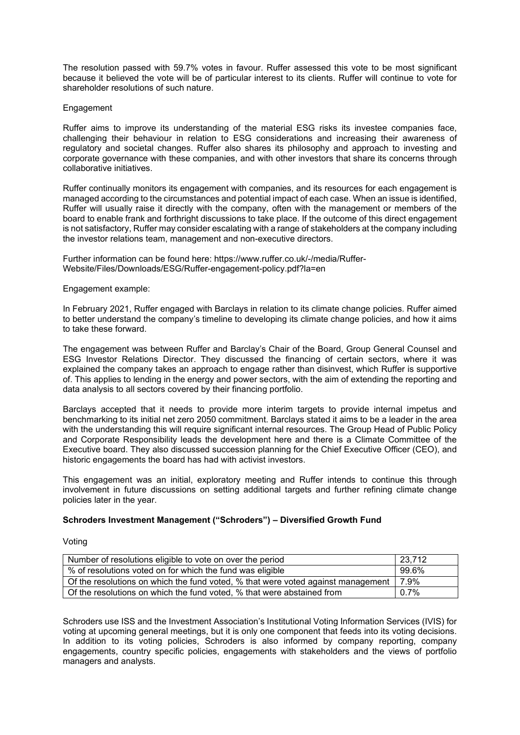The resolution passed with 59.7% votes in favour. Ruffer assessed this vote to be most significant because it believed the vote will be of particular interest to its clients. Ruffer will continue to vote for shareholder resolutions of such nature.

### Engagement

Ruffer aims to improve its understanding of the material ESG risks its investee companies face, challenging their behaviour in relation to ESG considerations and increasing their awareness of regulatory and societal changes. Ruffer also shares its philosophy and approach to investing and corporate governance with these companies, and with other investors that share its concerns through collaborative initiatives.

Ruffer continually monitors its engagement with companies, and its resources for each engagement is managed according to the circumstances and potential impact of each case. When an issue is identified, Ruffer will usually raise it directly with the company, often with the management or members of the board to enable frank and forthright discussions to take place. If the outcome of this direct engagement is not satisfactory, Ruffer may consider escalating with a range of stakeholders at the company including the investor relations team, management and non-executive directors.

Further information can be found here: [https://www.ruffer.co.uk/-/media/Ruffer-](https://www.ruffer.co.uk/-/media/Ruffer-Website/Files/Downloads/ESG/Ruffer-engagement-policy.pdf?la=en)[Website/Files/Downloads/ESG/Ruffer-engagement-policy.pdf?la=en](https://www.ruffer.co.uk/-/media/Ruffer-Website/Files/Downloads/ESG/Ruffer-engagement-policy.pdf?la=en)

#### Engagement example:

In February 2021, Ruffer engaged with Barclays in relation to its climate change policies. Ruffer aimed to better understand the company's timeline to developing its climate change policies, and how it aims to take these forward.

The engagement was between Ruffer and Barclay's Chair of the Board, Group General Counsel and ESG Investor Relations Director. They discussed the financing of certain sectors, where it was explained the company takes an approach to engage rather than disinvest, which Ruffer is supportive of. This applies to lending in the energy and power sectors, with the aim of extending the reporting and data analysis to all sectors covered by their financing portfolio.

Barclays accepted that it needs to provide more interim targets to provide internal impetus and benchmarking to its initial net zero 2050 commitment. Barclays stated it aims to be a leader in the area with the understanding this will require significant internal resources. The Group Head of Public Policy and Corporate Responsibility leads the development here and there is a Climate Committee of the Executive board. They also discussed succession planning for the Chief Executive Officer (CEO), and historic engagements the board has had with activist investors.

This engagement was an initial, exploratory meeting and Ruffer intends to continue this through involvement in future discussions on setting additional targets and further refining climate change policies later in the year.

## **Schroders Investment Management ("Schroders") – Diversified Growth Fund**

Voting

| Number of resolutions eligible to vote on over the period                        | 23,712       |
|----------------------------------------------------------------------------------|--------------|
| % of resolutions voted on for which the fund was eligible                        | 99.6%        |
| Of the resolutions on which the fund voted, % that were voted against management | $\vert$ 7.9% |
| Of the resolutions on which the fund voted, % that were abstained from           | $0.7\%$      |

Schroders use ISS and the Investment Association's Institutional Voting Information Services (IVIS) for voting at upcoming general meetings, but it is only one component that feeds into its voting decisions. In addition to its voting policies, Schroders is also informed by company reporting, company engagements, country specific policies, engagements with stakeholders and the views of portfolio managers and analysts.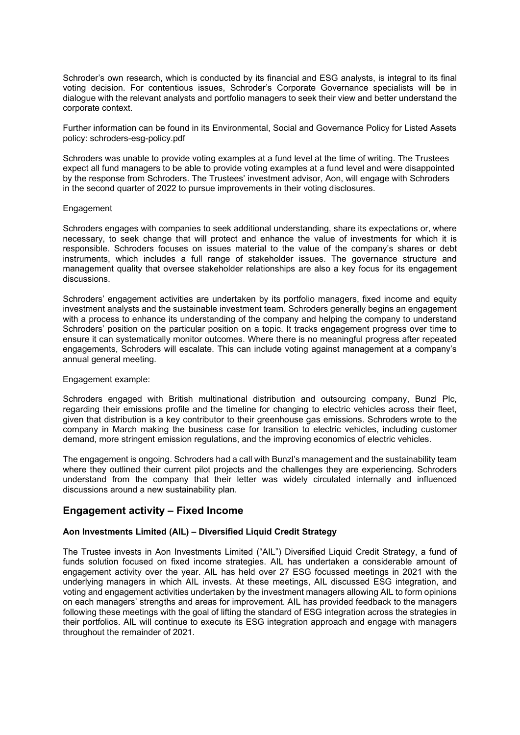Schroder's own research, which is conducted by its financial and ESG analysts, is integral to its final voting decision. For contentious issues, Schroder's Corporate Governance specialists will be in dialogue with the relevant analysts and portfolio managers to seek their view and better understand the corporate context.

Further information can be found in its Environmental, Social and Governance Policy for Listed Assets policy: [schroders-esg-policy.pdf](https://www.schroders.com/en/sysglobalassets/global-assets/english/campaign/sustainability/integrity-documents/schroders-esg-policy.pdf)

Schroders was unable to provide voting examples at a fund level at the time of writing. The Trustees expect all fund managers to be able to provide voting examples at a fund level and were disappointed by the response from Schroders. The Trustees' investment advisor, Aon, will engage with Schroders in the second quarter of 2022 to pursue improvements in their voting disclosures.

#### **Engagement**

Schroders engages with companies to seek additional understanding, share its expectations or, where necessary, to seek change that will protect and enhance the value of investments for which it is responsible. Schroders focuses on issues material to the value of the company's shares or debt instruments, which includes a full range of stakeholder issues. The governance structure and management quality that oversee stakeholder relationships are also a key focus for its engagement discussions.

Schroders' engagement activities are undertaken by its portfolio managers, fixed income and equity investment analysts and the sustainable investment team. Schroders generally begins an engagement with a process to enhance its understanding of the company and helping the company to understand Schroders' position on the particular position on a topic. It tracks engagement progress over time to ensure it can systematically monitor outcomes. Where there is no meaningful progress after repeated engagements, Schroders will escalate. This can include voting against management at a company's annual general meeting.

#### Engagement example:

Schroders engaged with British multinational distribution and outsourcing company, Bunzl Plc, regarding their emissions profile and the timeline for changing to electric vehicles across their fleet, given that distribution is a key contributor to their greenhouse gas emissions. Schroders wrote to the company in March making the business case for transition to electric vehicles, including customer demand, more stringent emission regulations, and the improving economics of electric vehicles.

The engagement is ongoing. Schroders had a call with Bunzl's management and the sustainability team where they outlined their current pilot projects and the challenges they are experiencing. Schroders understand from the company that their letter was widely circulated internally and influenced discussions around a new sustainability plan.

## **Engagement activity – Fixed Income**

#### **Aon Investments Limited (AIL) – Diversified Liquid Credit Strategy**

The Trustee invests in Aon Investments Limited ("AIL") Diversified Liquid Credit Strategy, a fund of funds solution focused on fixed income strategies. AIL has undertaken a considerable amount of engagement activity over the year. AIL has held over 27 ESG focussed meetings in 2021 with the underlying managers in which AIL invests. At these meetings, AIL discussed ESG integration, and voting and engagement activities undertaken by the investment managers allowing AIL to form opinions on each managers' strengths and areas for improvement. AIL has provided feedback to the managers following these meetings with the goal of lifting the standard of ESG integration across the strategies in their portfolios. AIL will continue to execute its ESG integration approach and engage with managers throughout the remainder of 2021.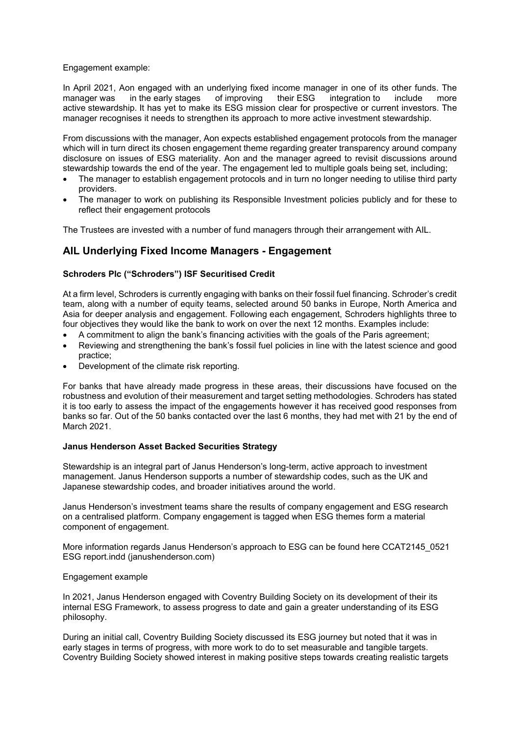Engagement example:

In April 2021, Aon engaged with an underlying fixed income manager in one of its other funds. The manager was in the early stages of improving their ESG integration to include more in the early stages of improving their ESG integration to include more active stewardship. It has yet to make its ESG mission clear for prospective or current investors. The manager recognises it needs to strengthen its approach to more active investment stewardship.

From discussions with the manager, Aon expects established engagement protocols from the manager which will in turn direct its chosen engagement theme regarding greater transparency around company disclosure on issues of ESG materiality. Aon and the manager agreed to revisit discussions around stewardship towards the end of the year. The engagement led to multiple goals being set, including;

- The manager to establish engagement protocols and in turn no longer needing to utilise third party providers.
- The manager to work on publishing its Responsible Investment policies publicly and for these to reflect their engagement protocols

The Trustees are invested with a number of fund managers through their arrangement with AIL.

## **AIL Underlying Fixed Income Managers - Engagement**

### **Schroders Plc ("Schroders") ISF Securitised Credit**

At a firm level, Schroders is currently engaging with banks on their fossil fuel financing. Schroder's credit team, along with a number of equity teams, selected around 50 banks in Europe, North America and Asia for deeper analysis and engagement. Following each engagement, Schroders highlights three to four objectives they would like the bank to work on over the next 12 months. Examples include:

- A commitment to align the bank's financing activities with the goals of the Paris agreement;
- Reviewing and strengthening the bank's fossil fuel policies in line with the latest science and good practice;
- Development of the climate risk reporting.

For banks that have already made progress in these areas, their discussions have focused on the robustness and evolution of their measurement and target setting methodologies. Schroders has stated it is too early to assess the impact of the engagements however it has received good responses from banks so far. Out of the 50 banks contacted over the last 6 months, they had met with 21 by the end of March 2021.

## **Janus Henderson Asset Backed Securities Strategy**

Stewardship is an integral part of Janus Henderson's long-term, active approach to investment management. Janus Henderson supports a number of stewardship codes, such as the UK and Japanese stewardship codes, and broader initiatives around the world.

Janus Henderson's investment teams share the results of company engagement and ESG research on a centralised platform. Company engagement is tagged when ESG themes form a material component of engagement.

More information regards Janus Henderson's approach to ESG can be found here [CCAT2145\\_0521](https://cdn.janushenderson.com/webdocs/2020+ESG+Company+Engagement+Voting+Review.pdf)  [ESG report.indd \(janushenderson.com\)](https://cdn.janushenderson.com/webdocs/2020+ESG+Company+Engagement+Voting+Review.pdf)

#### Engagement example

In 2021, Janus Henderson engaged with Coventry Building Society on its development of their its internal ESG Framework, to assess progress to date and gain a greater understanding of its ESG philosophy.

During an initial call, Coventry Building Society discussed its ESG journey but noted that it was in early stages in terms of progress, with more work to do to set measurable and tangible targets. Coventry Building Society showed interest in making positive steps towards creating realistic targets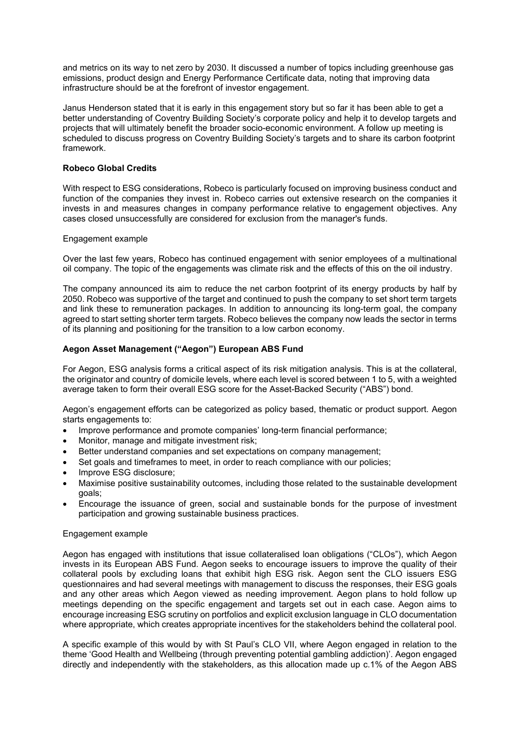and metrics on its way to net zero by 2030. It discussed a number of topics including greenhouse gas emissions, product design and Energy Performance Certificate data, noting that improving data infrastructure should be at the forefront of investor engagement.

Janus Henderson stated that it is early in this engagement story but so far it has been able to get a better understanding of Coventry Building Society's corporate policy and help it to develop targets and projects that will ultimately benefit the broader socio-economic environment. A follow up meeting is scheduled to discuss progress on Coventry Building Society's targets and to share its carbon footprint framework.

## **Robeco Global Credits**

With respect to ESG considerations, Robeco is particularly focused on improving business conduct and function of the companies they invest in. Robeco carries out extensive research on the companies it invests in and measures changes in company performance relative to engagement objectives. Any cases closed unsuccessfully are considered for exclusion from the manager's funds.

### Engagement example

Over the last few years, Robeco has continued engagement with senior employees of a multinational oil company. The topic of the engagements was climate risk and the effects of this on the oil industry.

The company announced its aim to reduce the net carbon footprint of its energy products by half by 2050. Robeco was supportive of the target and continued to push the company to set short term targets and link these to remuneration packages. In addition to announcing its long-term goal, the company agreed to start setting shorter term targets. Robeco believes the company now leads the sector in terms of its planning and positioning for the transition to a low carbon economy.

## **Aegon Asset Management ("Aegon") European ABS Fund**

For Aegon, ESG analysis forms a critical aspect of its risk mitigation analysis. This is at the collateral, the originator and country of domicile levels, where each level is scored between 1 to 5, with a weighted average taken to form their overall ESG score for the Asset-Backed Security ("ABS") bond.

Aegon's engagement efforts can be categorized as policy based, thematic or product support. Aegon starts engagements to:

- Improve performance and promote companies' long-term financial performance;
- Monitor, manage and mitigate investment risk;
- Better understand companies and set expectations on company management;
- Set goals and timeframes to meet, in order to reach compliance with our policies;
- Improve ESG disclosure;
- Maximise positive sustainability outcomes, including those related to the sustainable development goals;
- Encourage the issuance of green, social and sustainable bonds for the purpose of investment participation and growing sustainable business practices.

#### Engagement example

Aegon has engaged with institutions that issue collateralised loan obligations ("CLOs"), which Aegon invests in its European ABS Fund. Aegon seeks to encourage issuers to improve the quality of their collateral pools by excluding loans that exhibit high ESG risk. Aegon sent the CLO issuers ESG questionnaires and had several meetings with management to discuss the responses, their ESG goals and any other areas which Aegon viewed as needing improvement. Aegon plans to hold follow up meetings depending on the specific engagement and targets set out in each case. Aegon aims to encourage increasing ESG scrutiny on portfolios and explicit exclusion language in CLO documentation where appropriate, which creates appropriate incentives for the stakeholders behind the collateral pool.

A specific example of this would by with St Paul's CLO VII, where Aegon engaged in relation to the theme 'Good Health and Wellbeing (through preventing potential gambling addiction)'. Aegon engaged directly and independently with the stakeholders, as this allocation made up c.1% of the Aegon ABS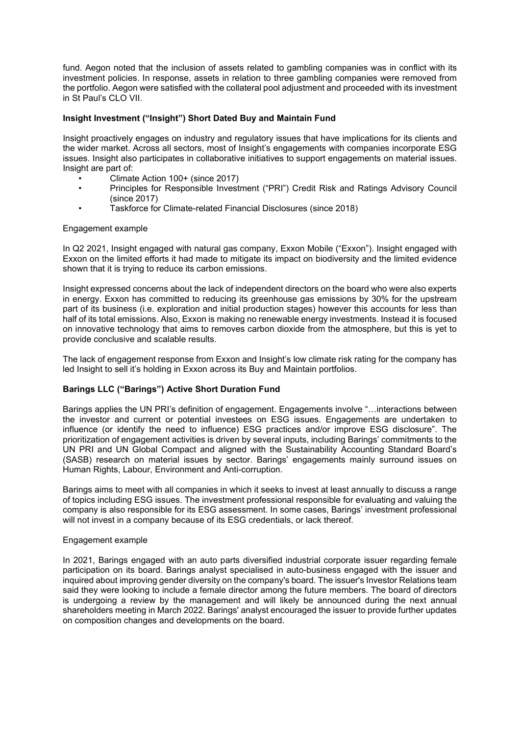fund. Aegon noted that the inclusion of assets related to gambling companies was in conflict with its investment policies. In response, assets in relation to three gambling companies were removed from the portfolio. Aegon were satisfied with the collateral pool adjustment and proceeded with its investment in St Paul's CLO VII.

### **Insight Investment ("Insight") Short Dated Buy and Maintain Fund**

Insight proactively engages on industry and regulatory issues that have implications for its clients and the wider market. Across all sectors, most of Insight's engagements with companies incorporate ESG issues. Insight also participates in collaborative initiatives to support engagements on material issues. Insight are part of:

- Climate Action 100+ (since 2017)
- Principles for Responsible Investment ("PRI") Credit Risk and Ratings Advisory Council (since 2017)
- Taskforce for Climate-related Financial Disclosures (since 2018)

#### Engagement example

In Q2 2021, Insight engaged with natural gas company, Exxon Mobile ("Exxon"). Insight engaged with Exxon on the limited efforts it had made to mitigate its impact on biodiversity and the limited evidence shown that it is trying to reduce its carbon emissions.

Insight expressed concerns about the lack of independent directors on the board who were also experts in energy. Exxon has committed to reducing its greenhouse gas emissions by 30% for the upstream part of its business (i.e. exploration and initial production stages) however this accounts for less than half of its total emissions. Also, Exxon is making no renewable energy investments. Instead it is focused on innovative technology that aims to removes carbon dioxide from the atmosphere, but this is yet to provide conclusive and scalable results.

The lack of engagement response from Exxon and Insight's low climate risk rating for the company has led Insight to sell it's holding in Exxon across its Buy and Maintain portfolios.

## **Barings LLC ("Barings") Active Short Duration Fund**

Barings applies the UN PRI's definition of engagement. Engagements involve "…interactions between the investor and current or potential investees on ESG issues. Engagements are undertaken to influence (or identify the need to influence) ESG practices and/or improve ESG disclosure". The prioritization of engagement activities is driven by several inputs, including Barings' commitments to the UN PRI and UN Global Compact and aligned with the Sustainability Accounting Standard Board's (SASB) research on material issues by sector. Barings' engagements mainly surround issues on Human Rights, Labour, Environment and Anti-corruption.

Barings aims to meet with all companies in which it seeks to invest at least annually to discuss a range of topics including ESG issues. The investment professional responsible for evaluating and valuing the company is also responsible for its ESG assessment. In some cases, Barings' investment professional will not invest in a company because of its ESG credentials, or lack thereof.

#### Engagement example

In 2021, Barings engaged with an auto parts diversified industrial corporate issuer regarding female participation on its board. Barings analyst specialised in auto-business engaged with the issuer and inquired about improving gender diversity on the company's board. The issuer's Investor Relations team said they were looking to include a female director among the future members. The board of directors is undergoing a review by the management and will likely be announced during the next annual shareholders meeting in March 2022. Barings' analyst encouraged the issuer to provide further updates on composition changes and developments on the board.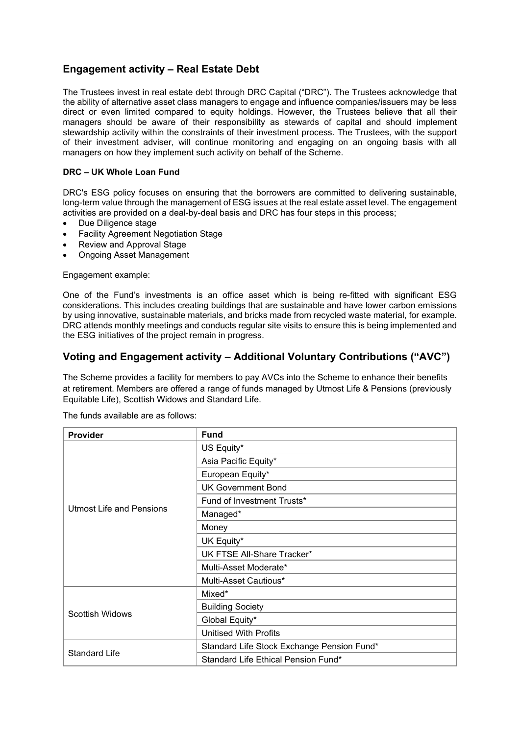# **Engagement activity – Real Estate Debt**

The Trustees invest in real estate debt through DRC Capital ("DRC"). The Trustees acknowledge that the ability of alternative asset class managers to engage and influence companies/issuers may be less direct or even limited compared to equity holdings. However, the Trustees believe that all their managers should be aware of their responsibility as stewards of capital and should implement stewardship activity within the constraints of their investment process. The Trustees, with the support of their investment adviser, will continue monitoring and engaging on an ongoing basis with all managers on how they implement such activity on behalf of the Scheme.

### **DRC – UK Whole Loan Fund**

DRC's ESG policy focuses on ensuring that the borrowers are committed to delivering sustainable, long-term value through the management of ESG issues at the real estate asset level. The engagement activities are provided on a deal-by-deal basis and DRC has four steps in this process;

- Due Diligence stage
- Facility Agreement Negotiation Stage
- Review and Approval Stage
- Ongoing Asset Management

Engagement example:

One of the Fund's investments is an office asset which is being re-fitted with significant ESG considerations. This includes creating buildings that are sustainable and have lower carbon emissions by using innovative, sustainable materials, and bricks made from recycled waste material, for example. DRC attends monthly meetings and conducts regular site visits to ensure this is being implemented and the ESG initiatives of the project remain in progress.

## **Voting and Engagement activity – Additional Voluntary Contributions ("AVC")**

The Scheme provides a facility for members to pay AVCs into the Scheme to enhance their benefits at retirement. Members are offered a range of funds managed by Utmost Life & Pensions (previously Equitable Life), Scottish Widows and Standard Life.

| <b>Provider</b>                 | <b>Fund</b>                                |  |  |  |  |
|---------------------------------|--------------------------------------------|--|--|--|--|
|                                 | US Equity*                                 |  |  |  |  |
|                                 | Asia Pacific Equity*                       |  |  |  |  |
|                                 | European Equity*                           |  |  |  |  |
|                                 | <b>UK Government Bond</b>                  |  |  |  |  |
|                                 | Fund of Investment Trusts*                 |  |  |  |  |
| <b>Utmost Life and Pensions</b> | Managed*                                   |  |  |  |  |
|                                 | Money                                      |  |  |  |  |
|                                 | UK Equity*                                 |  |  |  |  |
|                                 | UK FTSE All-Share Tracker*                 |  |  |  |  |
|                                 | Multi-Asset Moderate*                      |  |  |  |  |
|                                 | Multi-Asset Cautious*                      |  |  |  |  |
|                                 | Mixed*                                     |  |  |  |  |
| Scottish Widows                 | <b>Building Society</b>                    |  |  |  |  |
|                                 | Global Equity*                             |  |  |  |  |
|                                 | <b>Unitised With Profits</b>               |  |  |  |  |
|                                 | Standard Life Stock Exchange Pension Fund* |  |  |  |  |
| <b>Standard Life</b>            | Standard Life Ethical Pension Fund*        |  |  |  |  |

The funds available are as follows: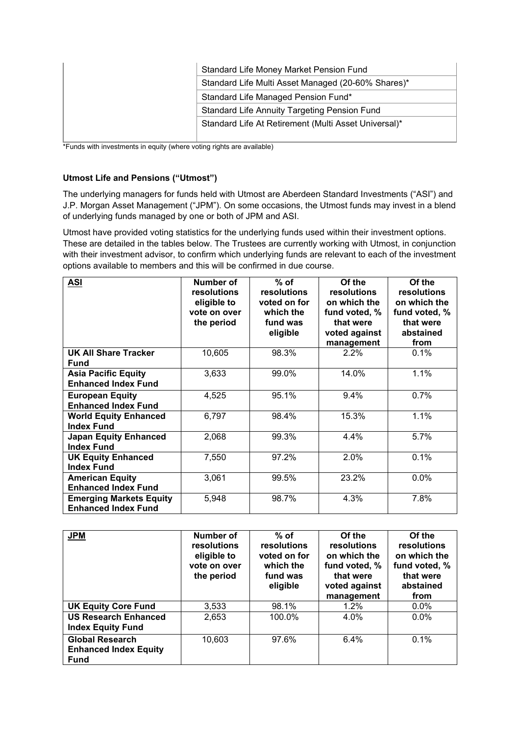| Standard Life Money Market Pension Fund              |  |  |  |  |
|------------------------------------------------------|--|--|--|--|
| Standard Life Multi Asset Managed (20-60% Shares)*   |  |  |  |  |
| Standard Life Managed Pension Fund*                  |  |  |  |  |
| <b>Standard Life Annuity Targeting Pension Fund</b>  |  |  |  |  |
| Standard Life At Retirement (Multi Asset Universal)* |  |  |  |  |
|                                                      |  |  |  |  |

\*Funds with investments in equity (where voting rights are available)

## **Utmost Life and Pensions ("Utmost")**

The underlying managers for funds held with Utmost are Aberdeen Standard Investments ("ASI") and J.P. Morgan Asset Management ("JPM"). On some occasions, the Utmost funds may invest in a blend of underlying funds managed by one or both of JPM and ASI.

Utmost have provided voting statistics for the underlying funds used within their investment options. These are detailed in the tables below. The Trustees are currently working with Utmost, in conjunction with their investment advisor, to confirm which underlying funds are relevant to each of the investment options available to members and this will be confirmed in due course.

| <b>ASI</b>                                                   | Number of<br>resolutions<br>eligible to<br>vote on over<br>the period | $%$ of<br>resolutions<br>voted on for<br>which the<br>fund was<br>eligible | Of the<br>resolutions<br>on which the<br>fund voted, %<br>that were<br>voted against<br>management | Of the<br>resolutions<br>on which the<br>fund voted, %<br>that were<br>abstained<br>from |
|--------------------------------------------------------------|-----------------------------------------------------------------------|----------------------------------------------------------------------------|----------------------------------------------------------------------------------------------------|------------------------------------------------------------------------------------------|
| <b>UK All Share Tracker</b><br><b>Fund</b>                   | 10,605                                                                | 98.3%                                                                      | 2.2%                                                                                               | 0.1%                                                                                     |
| <b>Asia Pacific Equity</b><br><b>Enhanced Index Fund</b>     | 3,633                                                                 | 99.0%                                                                      | 14.0%                                                                                              | 1.1%                                                                                     |
| <b>European Equity</b><br><b>Enhanced Index Fund</b>         | 4,525                                                                 | 95.1%                                                                      | 9.4%                                                                                               | 0.7%                                                                                     |
| <b>World Equity Enhanced</b><br><b>Index Fund</b>            | 6,797                                                                 | 98.4%                                                                      | 15.3%                                                                                              | 1.1%                                                                                     |
| <b>Japan Equity Enhanced</b><br><b>Index Fund</b>            | 2,068                                                                 | 99.3%                                                                      | 4.4%                                                                                               | 5.7%                                                                                     |
| <b>UK Equity Enhanced</b><br><b>Index Fund</b>               | 7,550                                                                 | 97.2%                                                                      | 2.0%                                                                                               | 0.1%                                                                                     |
| <b>American Equity</b><br><b>Enhanced Index Fund</b>         | 3,061                                                                 | 99.5%                                                                      | 23.2%                                                                                              | 0.0%                                                                                     |
| <b>Emerging Markets Equity</b><br><b>Enhanced Index Fund</b> | 5,948                                                                 | 98.7%                                                                      | 4.3%                                                                                               | 7.8%                                                                                     |

| <b>JPM</b>                                                            | Number of<br>resolutions<br>eligible to<br>vote on over<br>the period | $%$ of<br>resolutions<br>voted on for<br>which the<br>fund was<br>eligible | Of the<br>resolutions<br>on which the<br>fund voted, %<br>that were<br>voted against<br>management | Of the<br>resolutions<br>on which the<br>fund voted, %<br>that were<br>abstained<br>from |
|-----------------------------------------------------------------------|-----------------------------------------------------------------------|----------------------------------------------------------------------------|----------------------------------------------------------------------------------------------------|------------------------------------------------------------------------------------------|
| <b>UK Equity Core Fund</b>                                            | 3,533                                                                 | 98.1%                                                                      | 1.2%                                                                                               | $0.0\%$                                                                                  |
| <b>US Research Enhanced</b><br><b>Index Equity Fund</b>               | 2,653                                                                 | 100.0%                                                                     | 4.0%                                                                                               | 0.0%                                                                                     |
| <b>Global Research</b><br><b>Enhanced Index Equity</b><br><b>Fund</b> | 10,603                                                                | 97.6%                                                                      | 6.4%                                                                                               | 0.1%                                                                                     |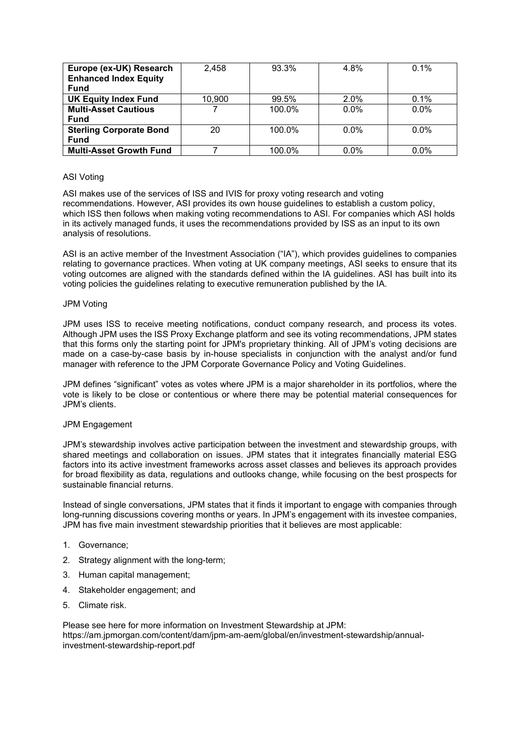| Europe (ex-UK) Research        | 2,458  | 93.3%  | 4.8%    | $0.1\%$ |
|--------------------------------|--------|--------|---------|---------|
| <b>Enhanced Index Equity</b>   |        |        |         |         |
| <b>Fund</b>                    |        |        |         |         |
| <b>UK Equity Index Fund</b>    | 10.900 | 99.5%  | 2.0%    | 0.1%    |
| <b>Multi-Asset Cautious</b>    |        | 100.0% | $0.0\%$ | $0.0\%$ |
| <b>Fund</b>                    |        |        |         |         |
| <b>Sterling Corporate Bond</b> | 20     | 100.0% | $0.0\%$ | $0.0\%$ |
| <b>Fund</b>                    |        |        |         |         |
| <b>Multi-Asset Growth Fund</b> |        | 100.0% | $0.0\%$ | 0.0%    |

### ASI Voting

ASI makes use of the services of ISS and IVIS for proxy voting research and voting recommendations. However, ASI provides its own house guidelines to establish a custom policy, which ISS then follows when making voting recommendations to ASI. For companies which ASI holds in its actively managed funds, it uses the recommendations provided by ISS as an input to its own analysis of resolutions.

ASI is an active member of the Investment Association ("IA"), which provides guidelines to companies relating to governance practices. When voting at UK company meetings, ASI seeks to ensure that its voting outcomes are aligned with the standards defined within the IA guidelines. ASI has built into its voting policies the guidelines relating to executive remuneration published by the IA.

#### JPM Voting

JPM uses ISS to receive meeting notifications, conduct company research, and process its votes. Although JPM uses the ISS Proxy Exchange platform and see its voting recommendations, JPM states that this forms only the starting point for JPM's proprietary thinking. All of JPM's voting decisions are made on a case-by-case basis by in-house specialists in conjunction with the analyst and/or fund manager with reference to the JPM Corporate Governance Policy and Voting Guidelines.

JPM defines "significant" votes as votes where JPM is a major shareholder in its portfolios, where the vote is likely to be close or contentious or where there may be potential material consequences for JPM's clients.

## JPM Engagement

JPM's stewardship involves active participation between the investment and stewardship groups, with shared meetings and collaboration on issues. JPM states that it integrates financially material ESG factors into its active investment frameworks across asset classes and believes its approach provides for broad flexibility as data, regulations and outlooks change, while focusing on the best prospects for sustainable financial returns.

Instead of single conversations, JPM states that it finds it important to engage with companies through long-running discussions covering months or years. In JPM's engagement with its investee companies, JPM has five main investment stewardship priorities that it believes are most applicable:

- 1. Governance;
- 2. Strategy alignment with the long-term;
- 3. Human capital management;
- 4. Stakeholder engagement; and
- 5. Climate risk.

Please see here for more information on Investment Stewardship at JPM: [https://am.jpmorgan.com/content/dam/jpm-am-aem/global/en/investment-stewardship/annual](https://am.jpmorgan.com/content/dam/jpm-am-aem/global/en/investment-stewardship/annual-investment-stewardship-report.pdf)[investment-stewardship-report.pdf](https://am.jpmorgan.com/content/dam/jpm-am-aem/global/en/investment-stewardship/annual-investment-stewardship-report.pdf)